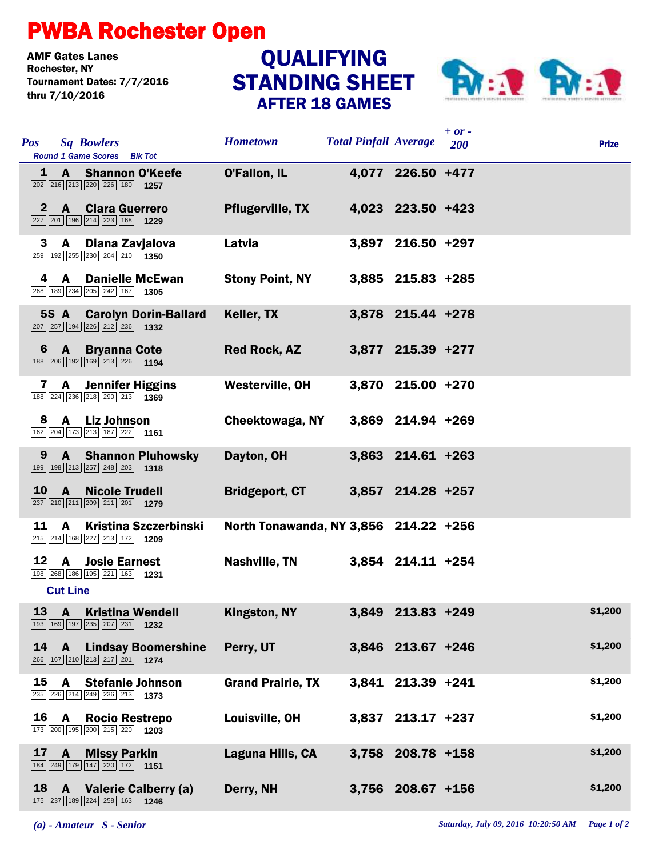## PWBA Rochester Open

**AMF Gates Lanes<br>Rochester. NY** Tournament Dates: 7/7/2016 thru 7/10/2016

## STANDING SHEET AFTER 18 GAMES **QUALIFYING**



| <b>Pos</b>   | <b>Sq Bowlers</b><br>Round 1 Game Scores Blk Tot                                                                                            | <b>Hometown</b>                       | <b>Total Pinfall Average</b> |                   | $+ or -$<br>200 | <b>Prize</b> |
|--------------|---------------------------------------------------------------------------------------------------------------------------------------------|---------------------------------------|------------------------------|-------------------|-----------------|--------------|
|              | 1 A Shannon O'Keefe<br>$\boxed{202}$ $\boxed{216}$ $\boxed{213}$ $\boxed{220}$ $\boxed{226}$ $\boxed{180}$ <b>1257</b>                      | <b>O'Fallon, IL</b>                   |                              | 4,077 226.50 +477 |                 |              |
| $\bf{2}$     | <b>A</b><br><b>Clara Guerrero</b><br>$\boxed{227}$ $\boxed{201}$ $\boxed{196}$ $\boxed{214}$ $\boxed{223}$ $\boxed{168}$ <b>1229</b>        | <b>Pflugerville, TX</b>               |                              | 4,023 223.50 +423 |                 |              |
| 3            | Diana Zavjalova<br>A<br>$\boxed{259}$ 192 $\boxed{255}$ 230 204 210 1350                                                                    | Latvia                                |                              | 3,897 216.50 +297 |                 |              |
| 4            | <b>Danielle McEwan</b><br>A<br>268 189 234 205 242 167 1305                                                                                 | <b>Stony Point, NY</b>                |                              | 3,885 215.83 +285 |                 |              |
|              | <b>5S A Carolyn Dorin-Ballard</b><br>$\boxed{207}$ $\boxed{257}$ $\boxed{194}$ $\boxed{226}$ $\boxed{212}$ $\boxed{236}$ <b>1332</b>        | Keller, TX                            |                              | 3,878 215.44 +278 |                 |              |
| 6            | $\mathbf{A}$<br><b>Bryanna Cote</b><br>188 206 192 169 213 226 1194                                                                         | <b>Red Rock, AZ</b>                   |                              | 3,877 215.39 +277 |                 |              |
| 7            | <b>Jennifer Higgins</b><br>A<br>188 224 236 218 290 213 1369                                                                                | Westerville, OH                       |                              | 3,870 215.00 +270 |                 |              |
| 8            | $\mathbf{A}$<br><b>Liz Johnson</b><br>162 204 173 213 187 222 1161                                                                          | Cheektowaga, NY                       |                              | 3,869 214.94 +269 |                 |              |
| 9            | <b>Shannon Pluhowsky</b><br>$\mathbf{A}$<br>$\boxed{199}$ $\boxed{198}$ $\boxed{213}$ $\boxed{257}$ $\boxed{248}$ $\boxed{203}$ <b>1318</b> | Dayton, OH                            |                              | 3,863 214.61 +263 |                 |              |
| <b>10</b>    | $\mathsf{A}$<br><b>Nicole Trudell</b><br>237 210 211 209 211 201 1279                                                                       | <b>Bridgeport, CT</b>                 |                              | 3,857 214.28 +257 |                 |              |
| 11           | A<br><b>Kristina Szczerbinski</b><br>215 214 168 227 213 172 1209                                                                           | North Tonawanda, NY 3,856 214.22 +256 |                              |                   |                 |              |
| 12           | $\mathbf{A}$<br><b>Josie Earnest</b><br>198 268 186 195 221 163 1231<br><b>Cut Line</b>                                                     | Nashville, TN                         |                              | 3,854 214.11 +254 |                 |              |
|              | 13 A Kristina Wendell<br>193 169 197 235 207 231 1232                                                                                       | Kingston, NY                          |                              | 3,849 213.83 +249 |                 | \$1,200      |
| $14 \quad A$ | <b>Lindsay Boomershine</b><br>266 167 210 213 217 201 1274                                                                                  | Perry, UT                             |                              | 3,846 213.67 +246 |                 | \$1,200      |
| 15           | A<br><b>Stefanie Johnson</b><br>235 226 214 249 236 213 1373                                                                                | <b>Grand Prairie, TX</b>              |                              | 3,841 213.39 +241 |                 | \$1,200      |
| 16           | <b>Rocio Restrepo</b><br><b>A</b><br>173 200 195 200 215 220 1203                                                                           | Louisville, OH                        |                              | 3,837 213.17 +237 |                 | \$1,200      |
| 17           | <b>Missy Parkin</b><br>A.<br>184 249 179 147 220 172 1151                                                                                   | Laguna Hills, CA                      |                              | 3,758 208.78 +158 |                 | \$1,200      |
|              | 18 A Valerie Calberry (a)<br>175 237 189 224 258 163 1246                                                                                   | Derry, NH                             |                              | 3,756 208.67 +156 |                 | \$1,200      |